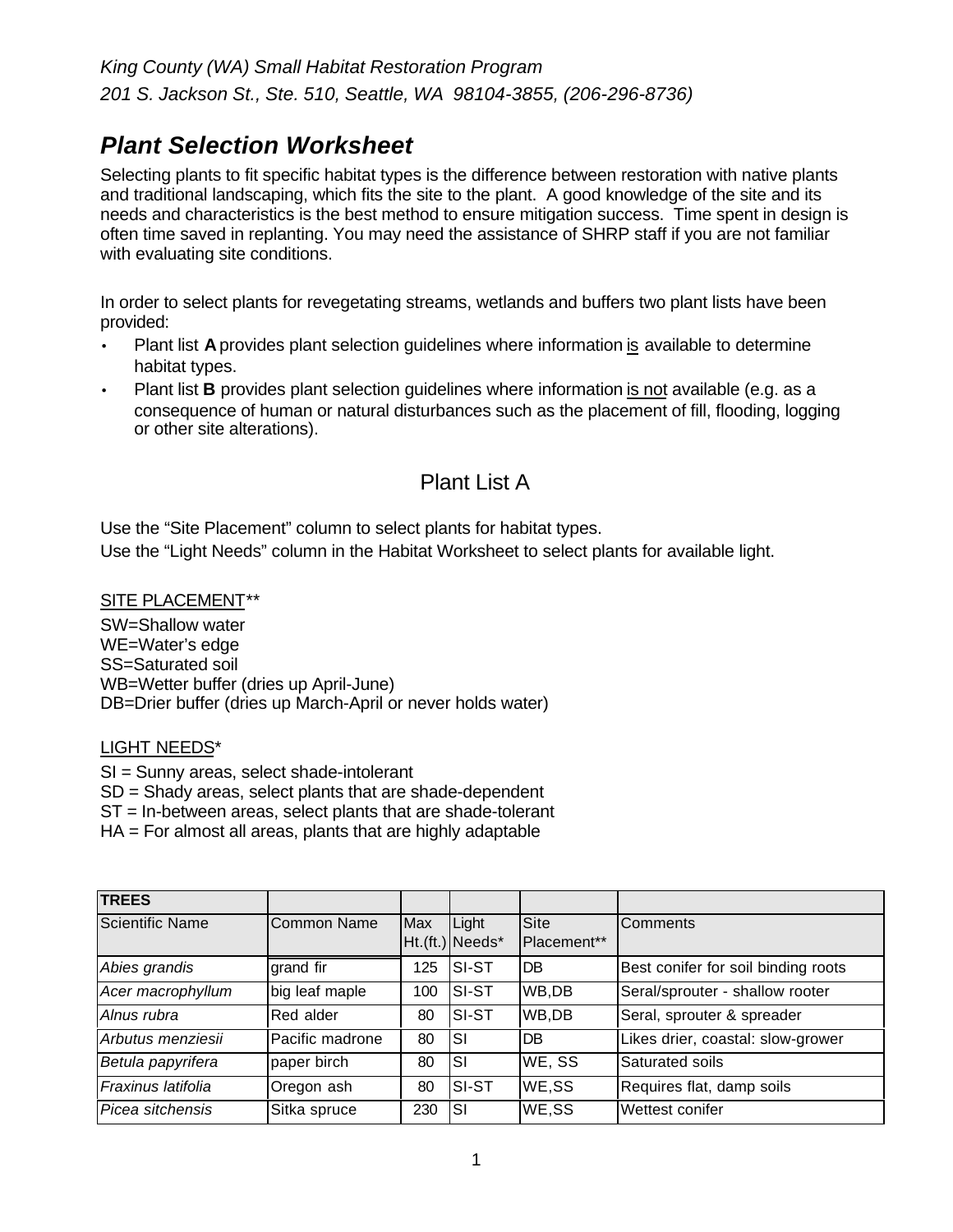# *Plant Selection Worksheet*

Selecting plants to fit specific habitat types is the difference between restoration with native plants and traditional landscaping, which fits the site to the plant. A good knowledge of the site and its needs and characteristics is the best method to ensure mitigation success. Time spent in design is often time saved in replanting. You may need the assistance of SHRP staff if you are not familiar with evaluating site conditions.

In order to select plants for revegetating streams, wetlands and buffers two plant lists have been provided:

- Plant list **A** provides plant selection guidelines where information is available to determine habitat types.
- Plant list **B** provides plant selection guidelines where information is not available (e.g. as a consequence of human or natural disturbances such as the placement of fill, flooding, logging or other site alterations).

# Plant List A

Use the "Site Placement" column to select plants for habitat types.

Use the "Light Needs" column in the Habitat Worksheet to select plants for available light.

SITE PLACEMENT\*\*

SW=Shallow water WE=Water's edge SS=Saturated soil WB=Wetter buffer (dries up April-June) DB=Drier buffer (dries up March-April or never holds water)

#### LIGHT NEEDS\*

SI = Sunny areas, select shade-intolerant

SD = Shady areas, select plants that are shade-dependent

ST = In-between areas, select plants that are shade-tolerant

HA = For almost all areas, plants that are highly adaptable

| <b>TREES</b>       |                    |     |                          |                     |                                     |
|--------------------|--------------------|-----|--------------------------|---------------------|-------------------------------------|
| Scientific Name    | <b>Common Name</b> | Max | Light<br>Ht.(ft.) Needs* | Site<br>Placement** | <b>Comments</b>                     |
| Abies grandis      | grand fir          | 125 | <b>SI-ST</b>             | DB                  | Best conifer for soil binding roots |
| Acer macrophyllum  | big leaf maple     | 100 | SI-ST                    | WB,DB               | Seral/sprouter - shallow rooter     |
| Alnus rubra        | Red alder          | 80  | SI-ST                    | WB,DB               | Seral, sprouter & spreader          |
| Arbutus menziesii  | Pacific madrone    | 80  | SI                       | DB                  | Likes drier, coastal: slow-grower   |
| Betula papyrifera  | paper birch        | 80  | SI                       | WE, SS              | Saturated soils                     |
| Fraxinus latifolia | Oregon ash         | 80  | SI-ST                    | WE,SS               | Requires flat, damp soils           |
| Picea sitchensis   | Sitka spruce       | 230 | SI                       | WE,SS               | Wettest conifer                     |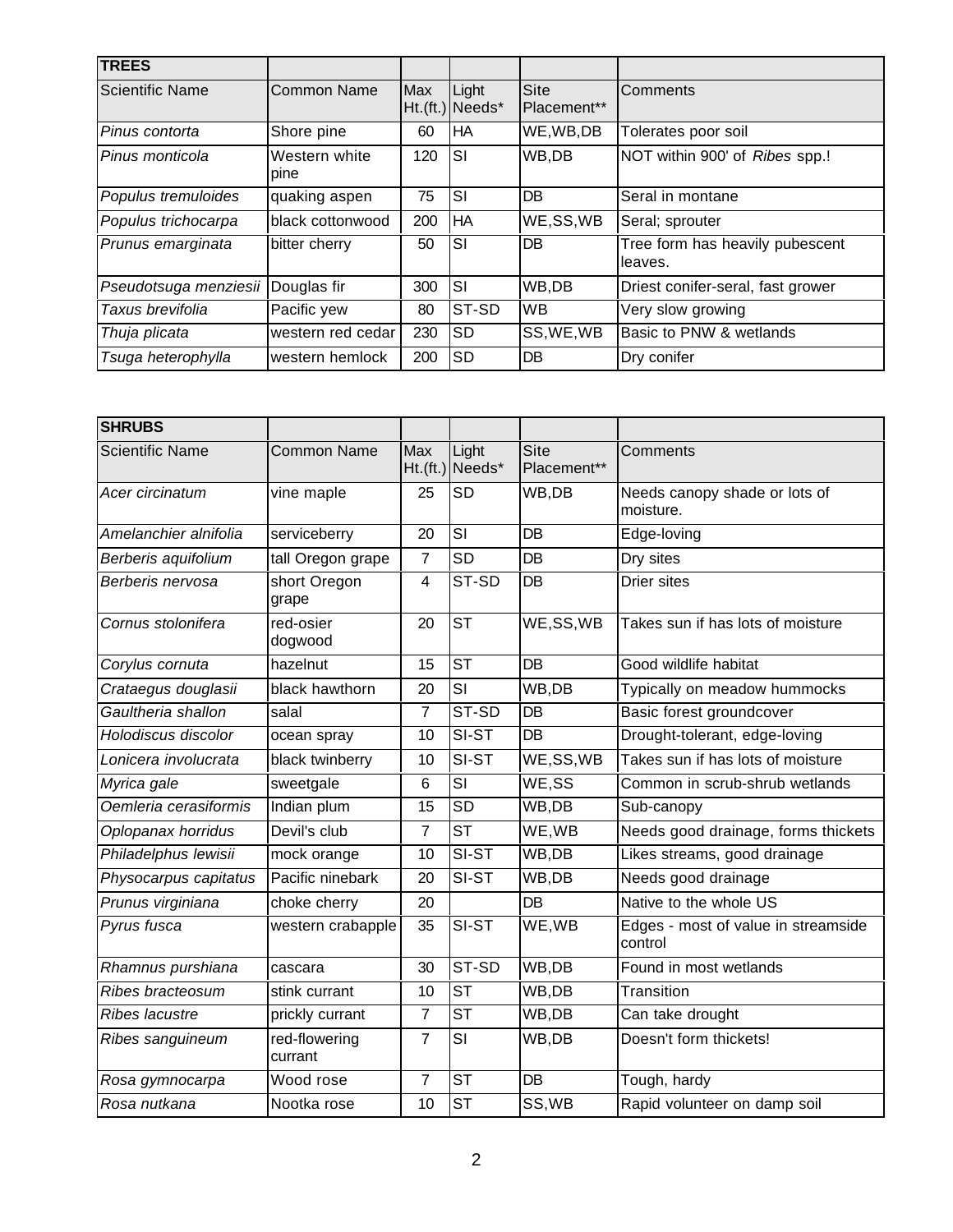| <b>TREES</b>           |                       |     |                          |                            |                                            |
|------------------------|-----------------------|-----|--------------------------|----------------------------|--------------------------------------------|
| <b>Scientific Name</b> | Common Name           | Max | Light<br>Ht.(ft.) Needs* | <b>Site</b><br>Placement** | <b>Comments</b>                            |
| Pinus contorta         | Shore pine            | 60  | HA                       | WE, WB, DB                 | Tolerates poor soil                        |
| Pinus monticola        | Western white<br>pine | 120 | <b>SI</b>                | WB,DB                      | NOT within 900' of Ribes spp.!             |
| Populus tremuloides    | quaking aspen         | 75  | <b>SI</b>                | <b>DB</b>                  | Seral in montane                           |
| Populus trichocarpa    | black cottonwood      | 200 | HA                       | WE,SS,WB                   | Seral; sprouter                            |
| Prunus emarginata      | bitter cherry         | 50  | <b>SI</b>                | <b>DB</b>                  | Tree form has heavily pubescent<br>leaves. |
| Pseudotsuga menziesii  | Douglas fir           | 300 | <b>SI</b>                | WB,DB                      | Driest conifer-seral, fast grower          |
| Taxus brevifolia       | Pacific yew           | 80  | ST-SD                    | <b>WB</b>                  | Very slow growing                          |
| Thuja plicata          | western red cedar     | 230 | <b>SD</b>                | SS, WE, WB                 | Basic to PNW & wetlands                    |
| Tsuga heterophylla     | western hemlock       | 200 | <b>SD</b>                | <b>DB</b>                  | Dry conifer                                |

| <b>SHRUBS</b>          |                          |                |                            |                     |                                                |
|------------------------|--------------------------|----------------|----------------------------|---------------------|------------------------------------------------|
| <b>Scientific Name</b> | <b>Common Name</b>       | Max            | Light<br>$Ht.(ft.)$ Needs* | Site<br>Placement** | Comments                                       |
| Acer circinatum        | vine maple               | 25             | SD                         | WB,DB               | Needs canopy shade or lots of<br>moisture.     |
| Amelanchier alnifolia  | serviceberry             | 20             | $\overline{\mathsf{SI}}$   | DB                  | Edge-loving                                    |
| Berberis aquifolium    | tall Oregon grape        | $\overline{7}$ | <b>SD</b>                  | DB                  | Dry sites                                      |
| Berberis nervosa       | short Oregon<br>grape    | 4              | ST-SD                      | DB                  | <b>Drier sites</b>                             |
| Cornus stolonifera     | red-osier<br>dogwood     | 20             | <b>ST</b>                  | WE,SS,WB            | Takes sun if has lots of moisture              |
| Corylus cornuta        | hazelnut                 | 15             | <b>ST</b>                  | DB                  | Good wildlife habitat                          |
| Crataegus douglasii    | black hawthorn           | 20             | SI                         | WB,DB               | Typically on meadow hummocks                   |
| Gaultheria shallon     | salal                    | $\overline{7}$ | ST-SD                      | DB                  | Basic forest groundcover                       |
| Holodiscus discolor    | ocean spray              | 10             | SI-ST                      | DB                  | Drought-tolerant, edge-loving                  |
| Lonicera involucrata   | black twinberry          | 10             | SI-ST                      | WE,SS,WB            | Takes sun if has lots of moisture              |
| Myrica gale            | sweetgale                | $\,6$          | SI                         | WE,SS               | Common in scrub-shrub wetlands                 |
| Oemleria cerasiformis  | Indian plum              | 15             | $\overline{SD}$            | WB,DB               | Sub-canopy                                     |
| Oplopanax horridus     | Devil's club             | $\overline{7}$ | <b>ST</b>                  | WE, WB              | Needs good drainage, forms thickets            |
| Philadelphus lewisii   | mock orange              | 10             | SI-ST                      | WB,DB               | Likes streams, good drainage                   |
| Physocarpus capitatus  | Pacific ninebark         | 20             | SI-ST                      | WB,DB               | Needs good drainage                            |
| Prunus virginiana      | choke cherry             | 20             |                            | DB                  | Native to the whole US                         |
| Pyrus fusca            | western crabapple        | 35             | SI-ST                      | WE, WB              | Edges - most of value in streamside<br>control |
| Rhamnus purshiana      | cascara                  | 30             | ST-SD                      | WB,DB               | Found in most wetlands                         |
| Ribes bracteosum       | stink currant            | 10             | <b>ST</b>                  | WB,DB               | Transition                                     |
| Ribes lacustre         | prickly currant          | $\overline{7}$ | $\overline{\mathsf{ST}}$   | WB,DB               | Can take drought                               |
| Ribes sanguineum       | red-flowering<br>currant | $\overline{7}$ | SI                         | WB,DB               | Doesn't form thickets!                         |
| Rosa gymnocarpa        | Wood rose                | $\overline{7}$ | <b>ST</b>                  | DB                  | Tough, hardy                                   |
| Rosa nutkana           | Nootka rose              | 10             | <b>ST</b>                  | SS, WB              | Rapid volunteer on damp soil                   |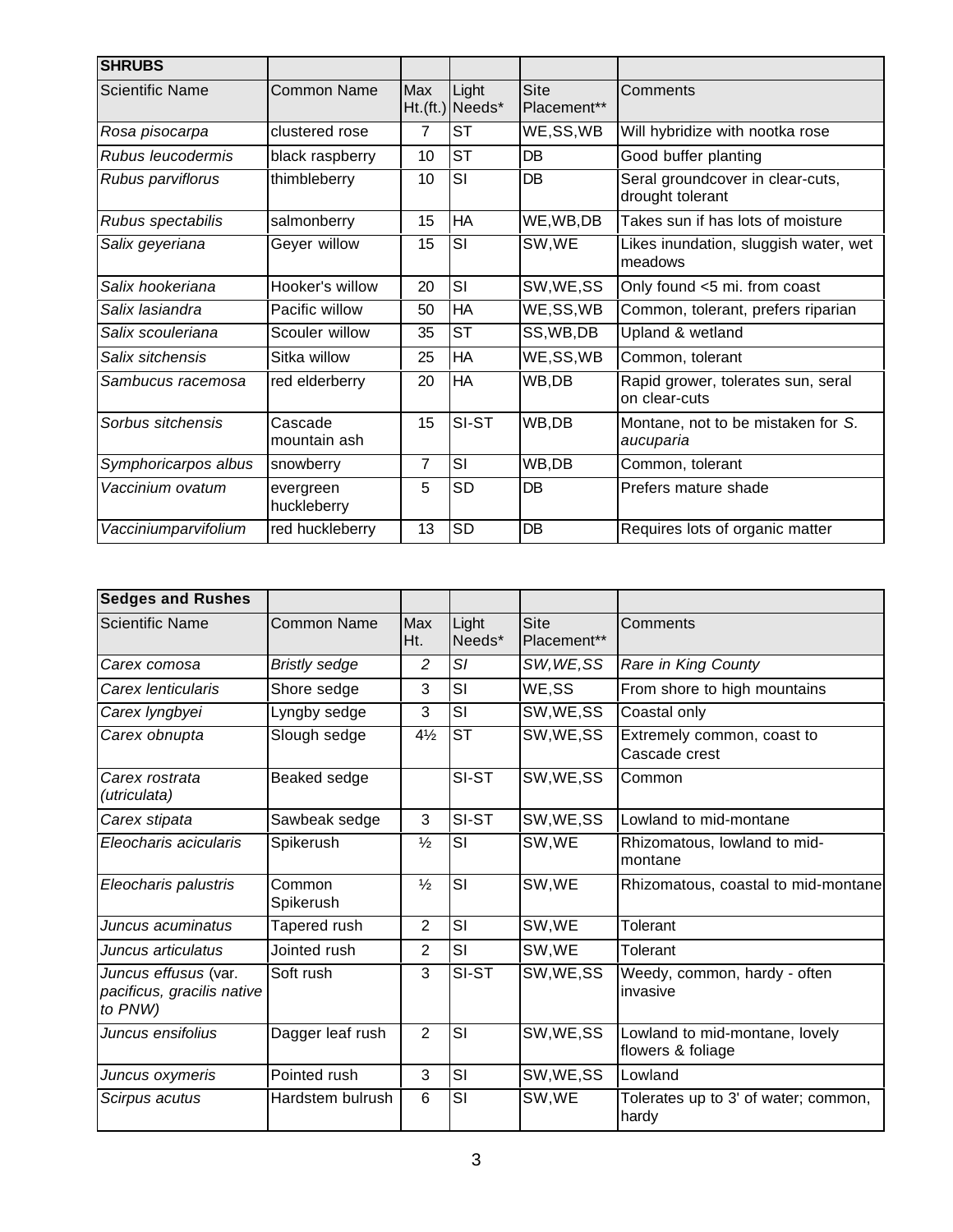| <b>SHRUBS</b>          |                          |     |                          |                            |                                                      |
|------------------------|--------------------------|-----|--------------------------|----------------------------|------------------------------------------------------|
| <b>Scientific Name</b> | Common Name              | Max | Light<br>Ht.(ft.) Needs* | <b>Site</b><br>Placement** | Comments                                             |
| Rosa pisocarpa         | clustered rose           | 7   | <b>ST</b>                | WE,SS,WB                   | Will hybridize with nootka rose                      |
| Rubus leucodermis      | black raspberry          | 10  | <b>ST</b>                | DB                         | Good buffer planting                                 |
| Rubus parviflorus      | thimbleberry             | 10  | SI                       | DB                         | Seral groundcover in clear-cuts,<br>drought tolerant |
| Rubus spectabilis      | salmonberry              | 15  | HA                       | WE, WB, DB                 | Takes sun if has lots of moisture                    |
| Salix geyeriana        | Geyer willow             | 15  | SI                       | SW, WE                     | Likes inundation, sluggish water, wet<br>meadows     |
| Salix hookeriana       | Hooker's willow          | 20  | SI                       | SW, WE, SS                 | Only found <5 mi. from coast                         |
| Salix lasiandra        | Pacific willow           | 50  | <b>HA</b>                | WE,SS,WB                   | Common, tolerant, prefers riparian                   |
| Salix scouleriana      | Scouler willow           | 35  | <b>ST</b>                | SS, WB, DB                 | Upland & wetland                                     |
| Salix sitchensis       | Sitka willow             | 25  | <b>HA</b>                | WE,SS,WB                   | Common, tolerant                                     |
| Sambucus racemosa      | red elderberry           | 20  | <b>HA</b>                | WB,DB                      | Rapid grower, tolerates sun, seral<br>on clear-cuts  |
| Sorbus sitchensis      | Cascade<br>mountain ash  | 15  | SI-ST                    | WB,DB                      | Montane, not to be mistaken for S.<br>aucuparia      |
| Symphoricarpos albus   | snowberry                | 7   | SI                       | WB,DB                      | Common, tolerant                                     |
| Vaccinium ovatum       | evergreen<br>huckleberry | 5   | <b>SD</b>                | DB                         | Prefers mature shade                                 |
| Vacciniumparvifolium   | red huckleberry          | 13  | <b>SD</b>                | DB                         | Requires lots of organic matter                      |

| <b>Sedges and Rushes</b>                                      |                      |                   |                 |                            |                                                     |
|---------------------------------------------------------------|----------------------|-------------------|-----------------|----------------------------|-----------------------------------------------------|
| <b>Scientific Name</b>                                        | <b>Common Name</b>   | <b>Max</b><br>Ht. | Light<br>Needs* | <b>Site</b><br>Placement** | Comments                                            |
| Carex comosa                                                  | <b>Bristly sedge</b> | $\overline{c}$    | SI              | SW, WE, SS                 | Rare in King County                                 |
| Carex lenticularis                                            | Shore sedge          | 3                 | SI              | WE,SS                      | From shore to high mountains                        |
| Carex lyngbyei                                                | Lyngby sedge         | 3                 | SI              | SW, WE, SS                 | Coastal only                                        |
| Carex obnupta                                                 | Slough sedge         | $4\frac{1}{2}$    | <b>ST</b>       | SW, WE, SS                 | Extremely common, coast to<br>Cascade crest         |
| Carex rostrata<br>(utriculata)                                | Beaked sedge         |                   | SI-ST           | SW, WE, SS                 | Common                                              |
| Carex stipata                                                 | Sawbeak sedge        | 3                 | SI-ST           | SW, WE, SS                 | Lowland to mid-montane                              |
| Eleocharis acicularis                                         | Spikerush            | $\frac{1}{2}$     | SI              | SW, WE                     | Rhizomatous, lowland to mid-<br>montane             |
| Eleocharis palustris                                          | Common<br>Spikerush  | $\frac{1}{2}$     | SI              | SW, WE                     | Rhizomatous, coastal to mid-montane                 |
| Juncus acuminatus                                             | Tapered rush         | $\overline{2}$    | <b>SI</b>       | SW, WE                     | Tolerant                                            |
| Juncus articulatus                                            | Jointed rush         | $\overline{2}$    | SI              | SW,WE                      | Tolerant                                            |
| Juncus effusus (var.<br>pacificus, gracilis native<br>to PNW) | Soft rush            | 3                 | SI-ST           | SW, WE, SS                 | Weedy, common, hardy - often<br>invasive            |
| Juncus ensifolius                                             | Dagger leaf rush     | $\overline{2}$    | SI              | SW, WE, SS                 | Lowland to mid-montane, lovely<br>flowers & foliage |
| Juncus oxymeris                                               | Pointed rush         | 3                 | SI              | SW, WE, SS                 | Lowland                                             |
| Scirpus acutus                                                | Hardstem bulrush     | 6                 | SI              | SW,WE                      | Tolerates up to 3' of water; common,<br>hardy       |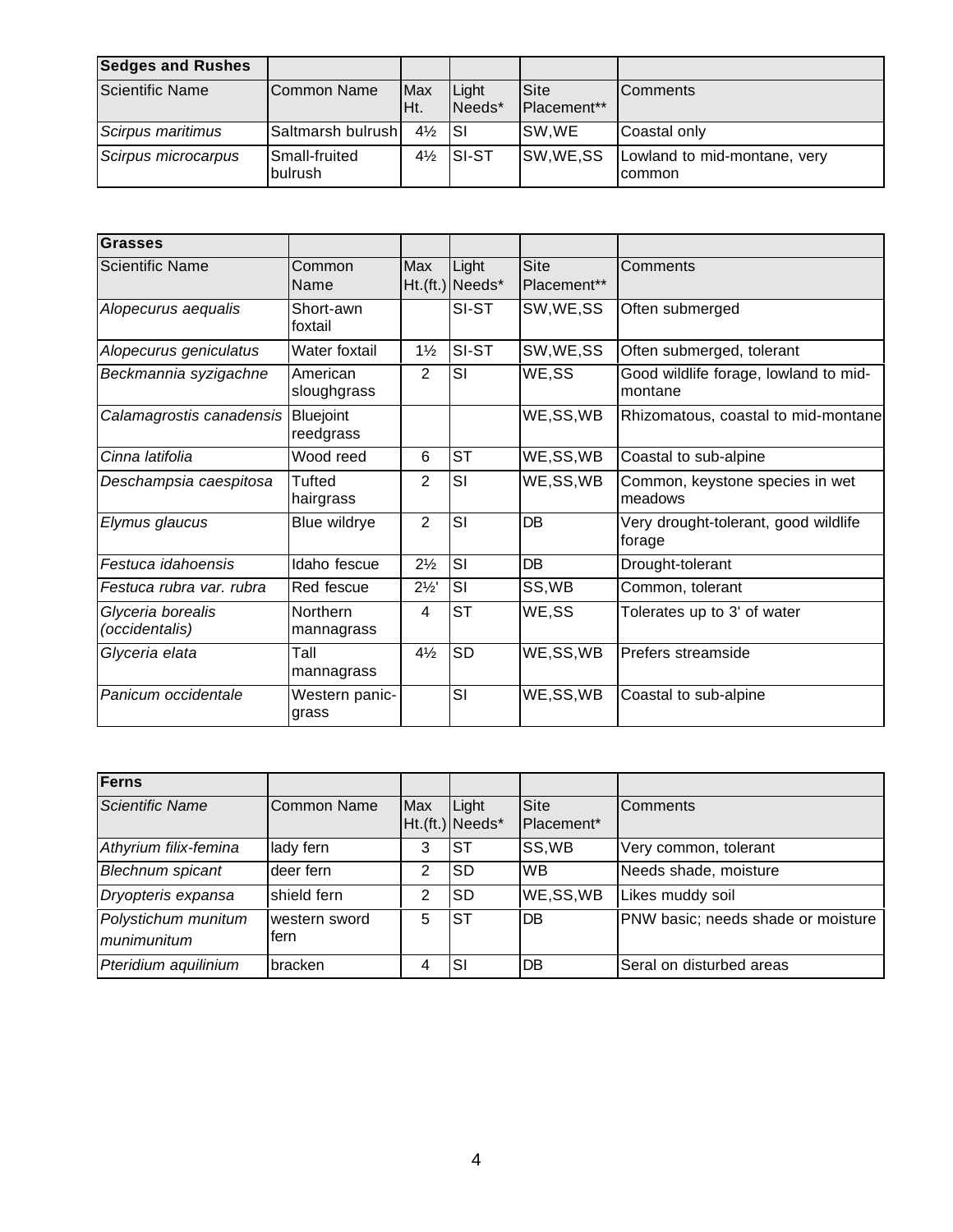| <b>Sedges and Rushes</b> |                          |                    |                      |                     |                                               |
|--------------------------|--------------------------|--------------------|----------------------|---------------------|-----------------------------------------------|
| Scientific Name          | ICommon Name             | <b>Max</b><br>IHt. | Light<br>Needs*      | Site<br>Placement** | <b>IComments</b>                              |
| Scirpus maritimus        | Saltmarsh bulrush        | $4\frac{1}{2}$ SI  |                      | ISW.WE              | Coastal only                                  |
| Scirpus microcarpus      | Small-fruited<br>bulrush |                    | $4\frac{1}{2}$ SI-ST | SW, WE, SS          | Lowland to mid-montane, very<br><b>common</b> |

| Grasses                             |                               |                |                          |                            |                                                  |
|-------------------------------------|-------------------------------|----------------|--------------------------|----------------------------|--------------------------------------------------|
| <b>Scientific Name</b>              | Common<br>Name                | Max            | Light<br>Ht.(ft.) Needs* | <b>Site</b><br>Placement** | Comments                                         |
| Alopecurus aequalis                 | Short-awn<br>foxtail          |                | SI-ST                    | SW, WE, SS                 | Often submerged                                  |
| Alopecurus geniculatus              | Water foxtail                 | $1\frac{1}{2}$ | SI-ST                    | SW, WE, SS                 | Often submerged, tolerant                        |
| Beckmannia syzigachne               | American<br>sloughgrass       | 2              | SI                       | WE,SS                      | Good wildlife forage, lowland to mid-<br>montane |
| Calamagrostis canadensis            | <b>Bluejoint</b><br>reedgrass |                |                          | WE,SS,WB                   | Rhizomatous, coastal to mid-montane              |
| Cinna latifolia                     | Wood reed                     | 6              | <b>ST</b>                | WE,SS,WB                   | Coastal to sub-alpine                            |
| Deschampsia caespitosa              | Tufted<br>hairgrass           | $\overline{2}$ | SI                       | WE,SS,WB                   | Common, keystone species in wet<br>meadows       |
| Elymus glaucus                      | Blue wildrye                  | $\overline{2}$ | SI                       | DB                         | Very drought-tolerant, good wildlife<br>forage   |
| Festuca idahoensis                  | Idaho fescue                  | $2\frac{1}{2}$ | SI                       | DB                         | Drought-tolerant                                 |
| Festuca rubra var. rubra            | Red fescue                    | $2\frac{1}{2}$ | SI                       | SS, WB                     | Common, tolerant                                 |
| Glyceria borealis<br>(occidentalis) | Northern<br>mannagrass        | 4              | <b>ST</b>                | WE,SS                      | Tolerates up to 3' of water                      |
| Glyceria elata                      | Tall<br>mannagrass            | $4\frac{1}{2}$ | <b>SD</b>                | WE,SS,WB                   | Prefers streamside                               |
| Panicum occidentale                 | Western panic-<br>grass       |                | SI                       | WE,SS,WB                   | Coastal to sub-alpine                            |

| Ferns                              |                       |     |                          |                    |                                    |
|------------------------------------|-----------------------|-----|--------------------------|--------------------|------------------------------------|
| <b>Scientific Name</b>             | <b>Common Name</b>    | Max | Light<br>Ht.(ft.) Needs* | Site<br>Placement* | <b>Comments</b>                    |
| Athyrium filix-femina              | lady fern             | 3   | <b>ST</b>                | SS, WB             | Very common, tolerant              |
| Blechnum spicant                   | deer fern             | 2   | <b>SD</b>                | <b>WB</b>          | Needs shade, moisture              |
| Dryopteris expansa                 | shield fern           | っ   | <b>SD</b>                | WE,SS,WB           | Likes muddy soil                   |
| Polystichum munitum<br>munimunitum | western sword<br>fern | 5   | <b>ST</b>                | <b>DB</b>          | PNW basic; needs shade or moisture |
| Pteridium aquilinium               | bracken               |     | <b>SI</b>                | DB                 | Seral on disturbed areas           |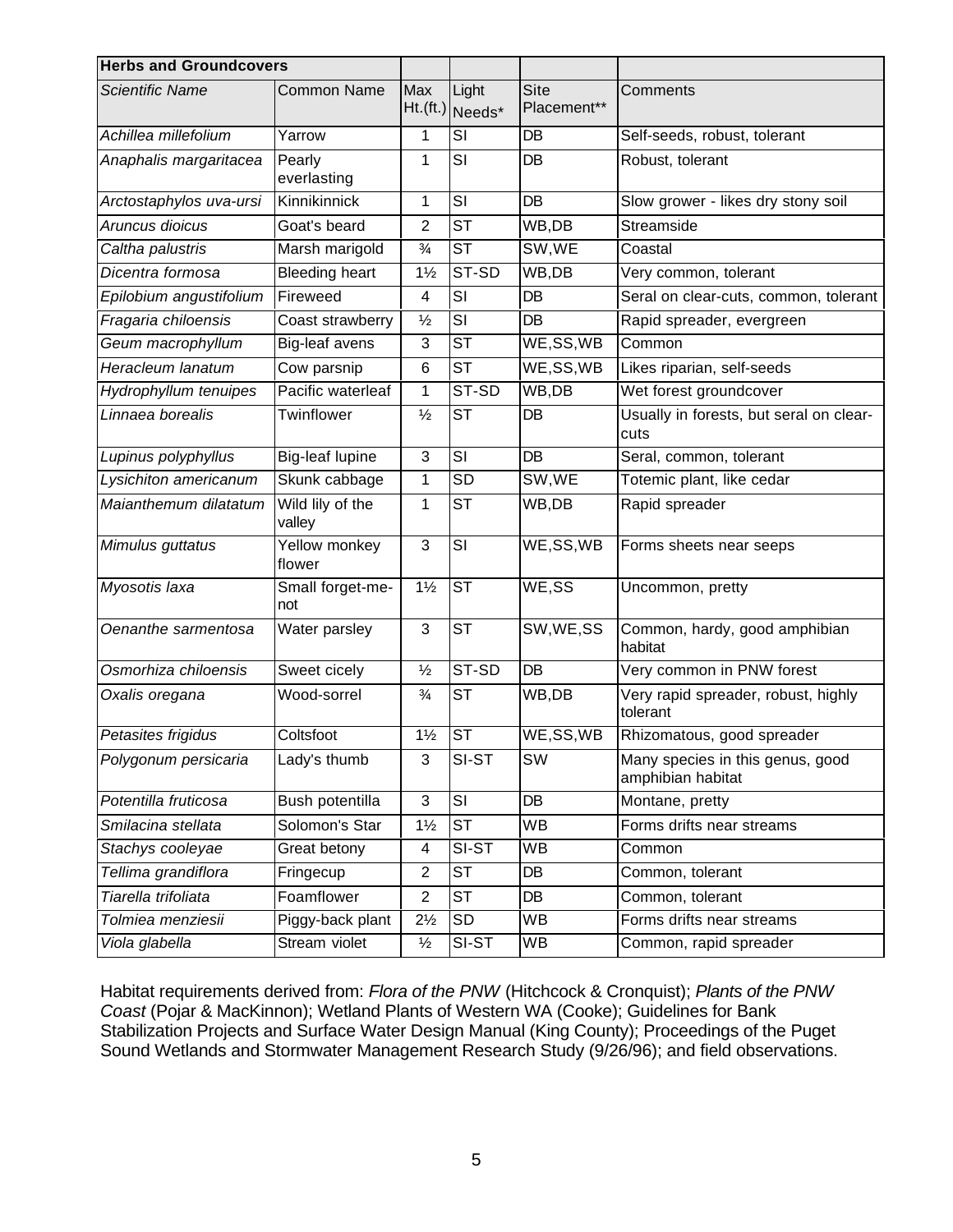| <b>Herbs and Groundcovers</b> |                            |                |                          |                            |                                                       |
|-------------------------------|----------------------------|----------------|--------------------------|----------------------------|-------------------------------------------------------|
| <b>Scientific Name</b>        | <b>Common Name</b>         | Max            | Light<br>Ht.(ft.) Needs* | <b>Site</b><br>Placement** | Comments                                              |
| Achillea millefolium          | Yarrow                     | 1              | SI                       | <b>DB</b>                  | Self-seeds, robust, tolerant                          |
| Anaphalis margaritacea        | Pearly<br>everlasting      | 1              | SI                       | DB                         | Robust, tolerant                                      |
| Arctostaphylos uva-ursi       | Kinnikinnick               | 1              | $\overline{\mathsf{SI}}$ | DB                         | Slow grower - likes dry stony soil                    |
| Aruncus dioicus               | Goat's beard               | $\overline{2}$ | <b>ST</b>                | WB,DB                      | Streamside                                            |
| Caltha palustris              | Marsh marigold             | $\frac{3}{4}$  | <b>ST</b>                | SW,WE                      | Coastal                                               |
| Dicentra formosa              | <b>Bleeding</b> heart      | $1\frac{1}{2}$ | ST-SD                    | WB,DB                      | Very common, tolerant                                 |
| Epilobium angustifolium       | Fireweed                   | 4              | SI                       | DB                         | Seral on clear-cuts, common, tolerant                 |
| Fragaria chiloensis           | Coast strawberry           | $\frac{1}{2}$  | SI                       | DB                         | Rapid spreader, evergreen                             |
| Geum macrophyllum             | Big-leaf avens             | 3              | <b>ST</b>                | WE,SS,WB                   | Common                                                |
| Heracleum lanatum             | Cow parsnip                | 6              | <b>ST</b>                | WE,SS,WB                   | Likes riparian, self-seeds                            |
| Hydrophyllum tenuipes         | Pacific waterleaf          | 1              | ST-SD                    | WB,DB                      | Wet forest groundcover                                |
| Linnaea borealis              | Twinflower                 | $\frac{1}{2}$  | <b>ST</b>                | DB                         | Usually in forests, but seral on clear-<br>cuts       |
| Lupinus polyphyllus           | Big-leaf lupine            | 3              | SI                       | DB                         | Seral, common, tolerant                               |
| Lysichiton americanum         | Skunk cabbage              | $\mathbf{1}$   | <b>SD</b>                | SW, WE                     | Totemic plant, like cedar                             |
| Maianthemum dilatatum         | Wild lily of the<br>valley | 1              | <b>ST</b>                | WB,DB                      | Rapid spreader                                        |
| Mimulus guttatus              | Yellow monkey<br>flower    | 3              | $\overline{\mathsf{SI}}$ | WE,SS,WB                   | Forms sheets near seeps                               |
| Myosotis laxa                 | Small forget-me-<br>not    | $1\frac{1}{2}$ | <b>ST</b>                | WE,SS                      | Uncommon, pretty                                      |
| Oenanthe sarmentosa           | Water parsley              | 3              | <b>ST</b>                | SW, WE, SS                 | Common, hardy, good amphibian<br>habitat              |
| Osmorhiza chiloensis          | Sweet cicely               | $\frac{1}{2}$  | $ST-SD$                  | DB                         | Very common in PNW forest                             |
| Oxalis oregana                | Wood-sorrel                | $\frac{3}{4}$  | <b>ST</b>                | WB,DB                      | Very rapid spreader, robust, highly<br>tolerant       |
| Petasites frigidus            | Coltsfoot                  | $1\frac{1}{2}$ | $\overline{\mathsf{ST}}$ | WE,SS,WB                   | Rhizomatous, good spreader                            |
| Polygonum persicaria          | Lady's thumb               | 3              | SI-ST                    | SW                         | Many species in this genus, good<br>amphibian habitat |
| Potentilla fruticosa          | Bush potentilla            | 3              | SI                       | DB                         | Montane, pretty                                       |
| Smilacina stellata            | Solomon's Star             | $1\frac{1}{2}$ | <b>ST</b>                | <b>WB</b>                  | Forms drifts near streams                             |
| Stachys cooleyae              | Great betony               | 4              | SI-ST                    | WB                         | Common                                                |
| Tellima grandiflora           | Fringecup                  | $\overline{2}$ | <b>ST</b>                | DB                         | Common, tolerant                                      |
| Tiarella trifoliata           | Foamflower                 | $\overline{2}$ | <b>ST</b>                | DB                         | Common, tolerant                                      |
| Tolmiea menziesii             | Piggy-back plant           | $2\frac{1}{2}$ | SD                       | <b>WB</b>                  | Forms drifts near streams                             |
| Viola glabella                | Stream violet              | $\frac{1}{2}$  | SI-ST                    | WB                         | Common, rapid spreader                                |

Habitat requirements derived from: *Flora of the PNW* (Hitchcock & Cronquist); *Plants of the PNW Coast* (Pojar & MacKinnon); Wetland Plants of Western WA (Cooke); Guidelines for Bank Stabilization Projects and Surface Water Design Manual (King County); Proceedings of the Puget Sound Wetlands and Stormwater Management Research Study (9/26/96); and field observations.